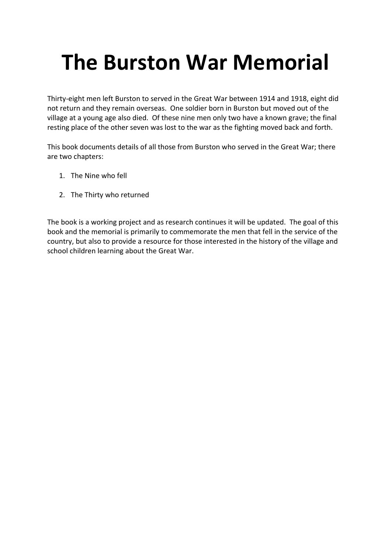# **The Burston War Memorial**

Thirty‐eight men left Burston to served in the Great War between 1914 and 1918, eight did not return and they remain overseas. One soldier born in Burston but moved out of the village at a young age also died. Of these nine men only two have a known grave; the final resting place of the other seven was lost to the war as the fighting moved back and forth.

This book documents details of all those from Burston who served in the Great War; there are two chapters:

- 1. The Nine who fell
- 2. The Thirty who returned

The book is a working project and as research continues it will be updated. The goal of this book and the memorial is primarily to commemorate the men that fell in the service of the country, but also to provide a resource for those interested in the history of the village and school children learning about the Great War.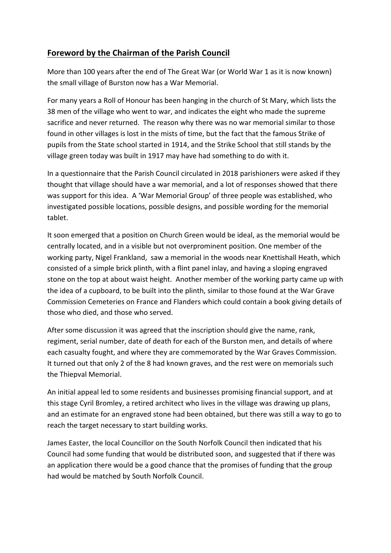## **Foreword by the Chairman of the Parish Council**

More than 100 years after the end of The Great War (or World War 1 as it is now known) the small village of Burston now has a War Memorial.

For many years a Roll of Honour has been hanging in the church of St Mary, which lists the 38 men of the village who went to war, and indicates the eight who made the supreme sacrifice and never returned. The reason why there was no war memorial similar to those found in other villages is lost in the mists of time, but the fact that the famous Strike of pupils from the State school started in 1914, and the Strike School that still stands by the village green today was built in 1917 may have had something to do with it.

In a questionnaire that the Parish Council circulated in 2018 parishioners were asked if they thought that village should have a war memorial, and a lot of responses showed that there was support for this idea. A 'War Memorial Group' of three people was established, who investigated possible locations, possible designs, and possible wording for the memorial tablet.

It soon emerged that a position on Church Green would be ideal, as the memorial would be centrally located, and in a visible but not overprominent position. One member of the working party, Nigel Frankland, saw a memorial in the woods near Knettishall Heath, which consisted of a simple brick plinth, with a flint panel inlay, and having a sloping engraved stone on the top at about waist height. Another member of the working party came up with the idea of a cupboard, to be built into the plinth, similar to those found at the War Grave Commission Cemeteries on France and Flanders which could contain a book giving details of those who died, and those who served.

After some discussion it was agreed that the inscription should give the name, rank, regiment, serial number, date of death for each of the Burston men, and details of where each casualty fought, and where they are commemorated by the War Graves Commission. It turned out that only 2 of the 8 had known graves, and the rest were on memorials such the Thiepval Memorial.

An initial appeal led to some residents and businesses promising financial support, and at this stage Cyril Bromley, a retired architect who lives in the village was drawing up plans, and an estimate for an engraved stone had been obtained, but there was still a way to go to reach the target necessary to start building works.

James Easter, the local Councillor on the South Norfolk Council then indicated that his Council had some funding that would be distributed soon, and suggested that if there was an application there would be a good chance that the promises of funding that the group had would be matched by South Norfolk Council.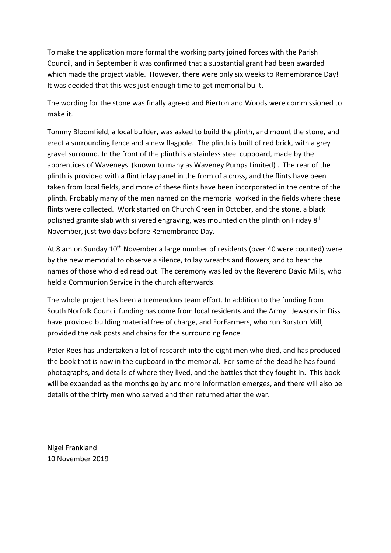To make the application more formal the working party joined forces with the Parish Council, and in September it was confirmed that a substantial grant had been awarded which made the project viable. However, there were only six weeks to Remembrance Day! It was decided that this was just enough time to get memorial built,

The wording for the stone was finally agreed and Bierton and Woods were commissioned to make it.

Tommy Bloomfield, a local builder, was asked to build the plinth, and mount the stone, and erect a surrounding fence and a new flagpole. The plinth is built of red brick, with a grey gravel surround. In the front of the plinth is a stainless steel cupboard, made by the apprentices of Waveneys (known to many as Waveney Pumps Limited) . The rear of the plinth is provided with a flint inlay panel in the form of a cross, and the flints have been taken from local fields, and more of these flints have been incorporated in the centre of the plinth. Probably many of the men named on the memorial worked in the fields where these flints were collected. Work started on Church Green in October, and the stone, a black polished granite slab with silvered engraving, was mounted on the plinth on Friday 8<sup>th</sup> November, just two days before Remembrance Day.

At 8 am on Sunday 10<sup>th</sup> November a large number of residents (over 40 were counted) were by the new memorial to observe a silence, to lay wreaths and flowers, and to hear the names of those who died read out. The ceremony was led by the Reverend David Mills, who held a Communion Service in the church afterwards.

The whole project has been a tremendous team effort. In addition to the funding from South Norfolk Council funding has come from local residents and the Army. Jewsons in Diss have provided building material free of charge, and ForFarmers, who run Burston Mill, provided the oak posts and chains for the surrounding fence.

Peter Rees has undertaken a lot of research into the eight men who died, and has produced the book that is now in the cupboard in the memorial. For some of the dead he has found photographs, and details of where they lived, and the battles that they fought in. This book will be expanded as the months go by and more information emerges, and there will also be details of the thirty men who served and then returned after the war.

Nigel Frankland 10 November 2019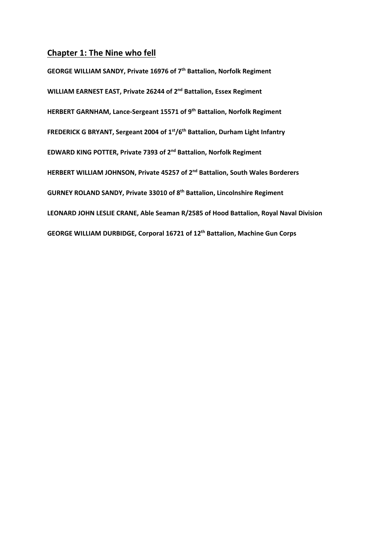## **Chapter 1: The Nine who fell**

**GEORGE WILLIAM SANDY, Private 16976 of 7th Battalion, Norfolk Regiment WILLIAM EARNEST EAST, Private 26244 of 2nd Battalion, Essex Regiment HERBERT GARNHAM, Lance‐Sergeant 15571 of 9th Battalion, Norfolk Regiment FREDERICK G BRYANT, Sergeant 2004 of 1st/6th Battalion, Durham Light Infantry EDWARD KING POTTER, Private 7393 of 2nd Battalion, Norfolk Regiment HERBERT WILLIAM JOHNSON, Private 45257 of 2nd Battalion, South Wales Borderers GURNEY ROLAND SANDY, Private 33010 of 8th Battalion, Lincolnshire Regiment LEONARD JOHN LESLIE CRANE, Able Seaman R/2585 of Hood Battalion, Royal Naval Division GEORGE WILLIAM DURBIDGE, Corporal 16721 of 12th Battalion, Machine Gun Corps**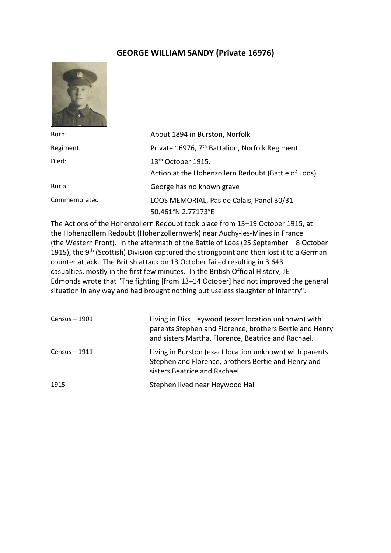## **GEORGE WILLIAM SANDY (Private 16976)**



| Born:         | About 1894 in Burston, Norfolk                             |
|---------------|------------------------------------------------------------|
| Regiment:     | Private 16976, 7 <sup>th</sup> Battalion, Norfolk Regiment |
| Died:         | 13 <sup>th</sup> October 1915.                             |
|               | Action at the Hohenzollern Redoubt (Battle of Loos)        |
| Burial:       | George has no known grave                                  |
| Commemorated: | LOOS MEMORIAL, Pas de Calais, Panel 30/31                  |
|               | 50.461°N 2.77173°E                                         |

The Actions of the Hohenzollern Redoubt took place from 13–19 October 1915, at the Hohenzollern Redoubt (Hohenzollernwerk) near Auchy‐les‐Mines in France (the Western Front). In the aftermath of the Battle of Loos (25 September – 8 October 1915), the 9<sup>th</sup> (Scottish) Division captured the strongpoint and then lost it to a German counter attack. The British attack on 13 October failed resulting in 3,643 casualties, mostly in the first few minutes. In the British Official History, JE Edmonds wrote that "The fighting [from 13–14 October] had not improved the general situation in any way and had brought nothing but useless slaughter of infantry".

| Census – 1901 | Living in Diss Heywood (exact location unknown) with<br>parents Stephen and Florence, brothers Bertie and Henry<br>and sisters Martha, Florence, Beatrice and Rachael. |
|---------------|------------------------------------------------------------------------------------------------------------------------------------------------------------------------|
| Census – 1911 | Living in Burston (exact location unknown) with parents<br>Stephen and Florence, brothers Bertie and Henry and<br>sisters Beatrice and Rachael.                        |
| 1915          | Stephen lived near Heywood Hall                                                                                                                                        |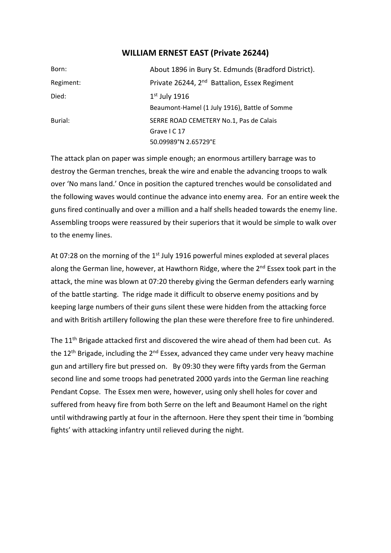## **WILLIAM ERNEST EAST (Private 26244)**

| Born:     | About 1896 in Bury St. Edmunds (Bradford District).      |
|-----------|----------------------------------------------------------|
| Regiment: | Private 26244, 2 <sup>nd</sup> Battalion, Essex Regiment |
| Died:     | $1st$ July 1916                                          |
|           | Beaumont-Hamel (1 July 1916), Battle of Somme            |
| Burial:   | SERRE ROAD CEMETERY No.1, Pas de Calais                  |
|           | Grave I C 17                                             |
|           | 50.09989°N 2.65729°E                                     |

The attack plan on paper was simple enough; an enormous artillery barrage was to destroy the German trenches, break the wire and enable the advancing troops to walk over 'No mans land.' Once in position the captured trenches would be consolidated and the following waves would continue the advance into enemy area. For an entire week the guns fired continually and over a million and a half shells headed towards the enemy line. Assembling troops were reassured by their superiors that it would be simple to walk over to the enemy lines.

At 07:28 on the morning of the  $1<sup>st</sup>$  July 1916 powerful mines exploded at several places along the German line, however, at Hawthorn Ridge, where the 2<sup>nd</sup> Essex took part in the attack, the mine was blown at 07:20 thereby giving the German defenders early warning of the battle starting. The ridge made it difficult to observe enemy positions and by keeping large numbers of their guns silent these were hidden from the attacking force and with British artillery following the plan these were therefore free to fire unhindered.

The 11<sup>th</sup> Brigade attacked first and discovered the wire ahead of them had been cut. As the 12<sup>th</sup> Brigade, including the 2<sup>nd</sup> Essex, advanced they came under very heavy machine gun and artillery fire but pressed on. By 09:30 they were fifty yards from the German second line and some troops had penetrated 2000 yards into the German line reaching Pendant Copse. The Essex men were, however, using only shell holes for cover and suffered from heavy fire from both Serre on the left and Beaumont Hamel on the right until withdrawing partly at four in the afternoon. Here they spent their time in 'bombing fights' with attacking infantry until relieved during the night.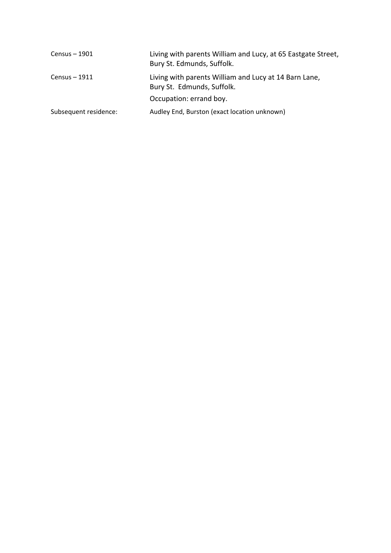| $Census - 1901$       | Living with parents William and Lucy, at 65 Eastgate Street,<br>Bury St. Edmunds, Suffolk. |
|-----------------------|--------------------------------------------------------------------------------------------|
| $Census - 1911$       | Living with parents William and Lucy at 14 Barn Lane,<br>Bury St. Edmunds, Suffolk.        |
|                       | Occupation: errand boy.                                                                    |
| Subsequent residence: | Audley End, Burston (exact location unknown)                                               |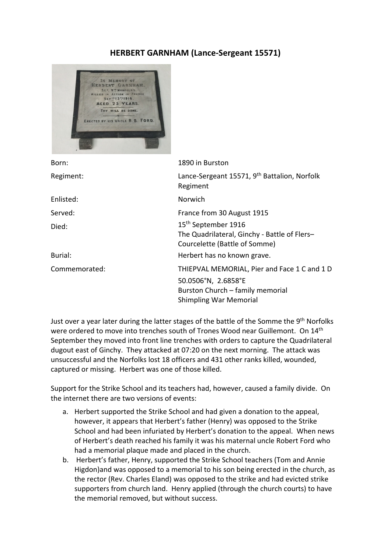## **HERBERT GARNHAM (Lance‐Sergeant 15571)**



| Born:         | 1890 in Burston                                                                                                                          |
|---------------|------------------------------------------------------------------------------------------------------------------------------------------|
| Regiment:     | Lance-Sergeant 15571, 9 <sup>th</sup> Battalion, Norfolk<br>Regiment                                                                     |
| Enlisted:     | Norwich                                                                                                                                  |
| Served:       | France from 30 August 1915                                                                                                               |
| Died:         | 15 <sup>th</sup> September 1916<br>The Quadrilateral, Ginchy - Battle of Flers-<br>Courcelette (Battle of Somme)                         |
| Burial:       | Herbert has no known grave.                                                                                                              |
| Commemorated: | THIEPVAL MEMORIAL, Pier and Face 1 C and 1 D<br>50.0506°N, 2.6858°E<br>Burston Church - family memorial<br><b>Shimpling War Memorial</b> |
|               |                                                                                                                                          |

Just over a year later during the latter stages of the battle of the Somme the 9<sup>th</sup> Norfolks were ordered to move into trenches south of Trones Wood near Guillemont. On 14<sup>th</sup> September they moved into front line trenches with orders to capture the Quadrilateral dugout east of Ginchy. They attacked at 07:20 on the next morning. The attack was unsuccessful and the Norfolks lost 18 officers and 431 other ranks killed, wounded, captured or missing. Herbert was one of those killed.

Support for the Strike School and its teachers had, however, caused a family divide. On the internet there are two versions of events:

- a. Herbert supported the Strike School and had given a donation to the appeal, however, it appears that Herbert's father (Henry) was opposed to the Strike School and had been infuriated by Herbert's donation to the appeal. When news of Herbert's death reached his family it was his maternal uncle Robert Ford who had a memorial plaque made and placed in the church.
- b. Herbert's father, Henry, supported the Strike School teachers (Tom and Annie Higdon)and was opposed to a memorial to his son being erected in the church, as the rector (Rev. Charles Eland) was opposed to the strike and had evicted strike supporters from church land. Henry applied (through the church courts) to have the memorial removed, but without success.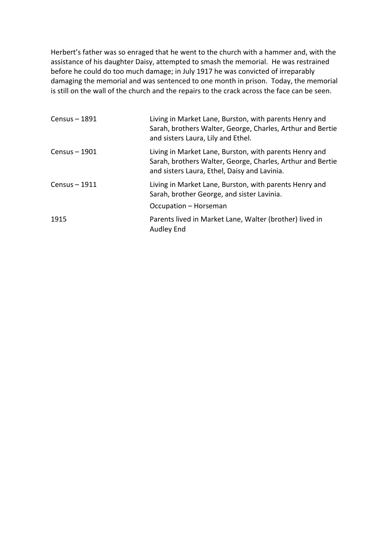Herbert's father was so enraged that he went to the church with a hammer and, with the assistance of his daughter Daisy, attempted to smash the memorial. He was restrained before he could do too much damage; in July 1917 he was convicted of irreparably damaging the memorial and was sentenced to one month in prison. Today, the memorial is still on the wall of the church and the repairs to the crack across the face can be seen.

| $Census - 1891$ | Living in Market Lane, Burston, with parents Henry and<br>Sarah, brothers Walter, George, Charles, Arthur and Bertie<br>and sisters Laura, Lily and Ethel.           |
|-----------------|----------------------------------------------------------------------------------------------------------------------------------------------------------------------|
| $Census - 1901$ | Living in Market Lane, Burston, with parents Henry and<br>Sarah, brothers Walter, George, Charles, Arthur and Bertie<br>and sisters Laura, Ethel, Daisy and Lavinia. |
| Census - 1911   | Living in Market Lane, Burston, with parents Henry and<br>Sarah, brother George, and sister Lavinia.<br>Occupation - Horseman                                        |
| 1915            | Parents lived in Market Lane, Walter (brother) lived in<br><b>Audley End</b>                                                                                         |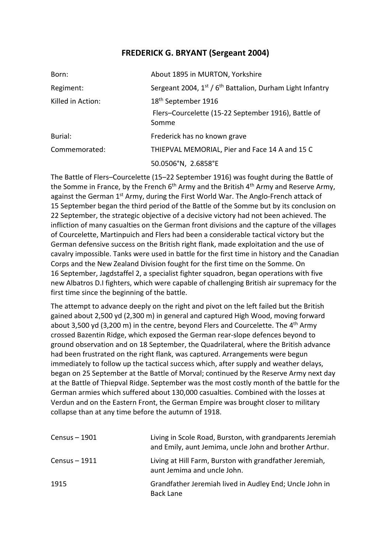## **FREDERICK G. BRYANT (Sergeant 2004)**

| Born:             | About 1895 in MURTON, Yorkshire                                       |
|-------------------|-----------------------------------------------------------------------|
| Regiment:         | Sergeant 2004, 1st / 6 <sup>th</sup> Battalion, Durham Light Infantry |
| Killed in Action: | 18 <sup>th</sup> September 1916                                       |
|                   | Flers-Courcelette (15-22 September 1916), Battle of<br>Somme          |
| Burial:           | Frederick has no known grave                                          |
| Commemorated:     | THIEPVAL MEMORIAL, Pier and Face 14 A and 15 C                        |
|                   | 50.0506°N, 2.6858°E                                                   |

The Battle of Flers–Courcelette (15–22 September 1916) was fought during the Battle of the Somme in France, by the French  $6<sup>th</sup>$  Army and the British  $4<sup>th</sup>$  Army and Reserve Army, against the German 1<sup>st</sup> Army, during the First World War. The Anglo-French attack of 15 September began the third period of the Battle of the Somme but by its conclusion on 22 September, the strategic objective of a decisive victory had not been achieved. The infliction of many casualties on the German front divisions and the capture of the villages of Courcelette, Martinpuich and Flers had been a considerable tactical victory but the German defensive success on the British right flank, made exploitation and the use of cavalry impossible. Tanks were used in battle for the first time in history and the Canadian Corps and the New Zealand Division fought for the first time on the Somme. On 16 September, Jagdstaffel 2, a specialist fighter squadron, began operations with five new Albatros D.I fighters, which were capable of challenging British air supremacy for the first time since the beginning of the battle.

The attempt to advance deeply on the right and pivot on the left failed but the British gained about 2,500 yd (2,300 m) in general and captured High Wood, moving forward about 3,500 yd (3,200 m) in the centre, beyond Flers and Courcelette. The  $4<sup>th</sup>$  Army crossed Bazentin Ridge, which exposed the German rear‐slope defences beyond to ground observation and on 18 September, the Quadrilateral, where the British advance had been frustrated on the right flank, was captured. Arrangements were begun immediately to follow up the tactical success which, after supply and weather delays, began on 25 September at the Battle of Morval; continued by the Reserve Army next day at the Battle of Thiepval Ridge. September was the most costly month of the battle for the German armies which suffered about 130,000 casualties. Combined with the losses at Verdun and on the Eastern Front, the German Empire was brought closer to military collapse than at any time before the autumn of 1918.

| $Census - 1901$ | Living in Scole Road, Burston, with grandparents Jeremiah<br>and Emily, aunt Jemima, uncle John and brother Arthur. |
|-----------------|---------------------------------------------------------------------------------------------------------------------|
| $Census - 1911$ | Living at Hill Farm, Burston with grandfather Jeremiah,<br>aunt Jemima and uncle John.                              |
| 1915            | Grandfather Jeremiah lived in Audley End; Uncle John in<br>Back Lane                                                |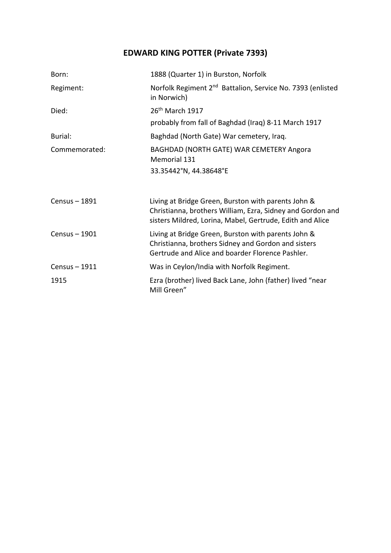## **EDWARD KING POTTER (Private 7393)**

| Born:         | 1888 (Quarter 1) in Burston, Norfolk                                                                                                                                           |
|---------------|--------------------------------------------------------------------------------------------------------------------------------------------------------------------------------|
| Regiment:     | Norfolk Regiment 2 <sup>nd</sup> Battalion, Service No. 7393 (enlisted<br>in Norwich)                                                                                          |
| Died:         | 26 <sup>th</sup> March 1917                                                                                                                                                    |
|               | probably from fall of Baghdad (Iraq) 8-11 March 1917                                                                                                                           |
| Burial:       | Baghdad (North Gate) War cemetery, Iraq.                                                                                                                                       |
| Commemorated: | BAGHDAD (NORTH GATE) WAR CEMETERY Angora<br>Memorial 131                                                                                                                       |
|               | 33.35442°N, 44.38648°E                                                                                                                                                         |
|               |                                                                                                                                                                                |
| Census - 1891 | Living at Bridge Green, Burston with parents John &<br>Christianna, brothers William, Ezra, Sidney and Gordon and<br>sisters Mildred, Lorina, Mabel, Gertrude, Edith and Alice |
| Census - 1901 | Living at Bridge Green, Burston with parents John &<br>Christianna, brothers Sidney and Gordon and sisters<br>Gertrude and Alice and boarder Florence Pashler.                 |
| Census - 1911 | Was in Ceylon/India with Norfolk Regiment.                                                                                                                                     |
| 1915          | Ezra (brother) lived Back Lane, John (father) lived "near<br>Mill Green"                                                                                                       |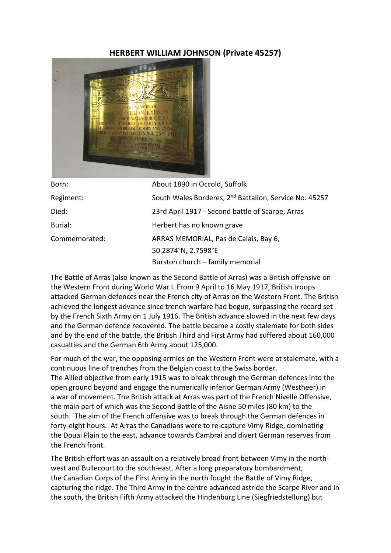## **HERBERT WILLIAM JOHNSON (Private 45257)**



| Born:         | About 1890 in Occold, Suffolk                                      |
|---------------|--------------------------------------------------------------------|
| Regiment:     | South Wales Borderes, 2 <sup>nd</sup> Battalion, Service No. 45257 |
| Died:         | 23rd April 1917 - Second battle of Scarpe, Arras                   |
| Burial:       | Herbert has no known grave                                         |
| Commemorated: | ARRAS MEMORIAL, Pas de Calais, Bay 6,                              |
|               | 50.2874°N, 2.7598°E                                                |
|               | Burston church - family memorial                                   |

The Battle of Arras (also known as the Second Battle of Arras) was a British offensive on the Western Front during World War I. From 9 April to 16 May 1917, British troops attacked German defences near the French city of Arras on the Western Front. The British achieved the longest advance since trench warfare had begun, surpassing the record set by the French Sixth Army on 1 July 1916. The British advance slowed in the next few days and the German defence recovered. The battle became a costly stalemate for both sides and by the end of the battle, the British Third and First Army had suffered about 160,000 casualties and the German 6th Army about 125,000.

For much of the war, the opposing armies on the Western Front were at stalemate, with a continuous line of trenches from the Belgian coast to the Swiss border. The Allied objective from early 1915 was to break through the German defences into the open ground beyond and engage the numerically inferior German Army (Westheer) in a war of movement. The British attack at Arras was part of the French Nivelle Offensive, the main part of which was the Second Battle of the Aisne 50 miles (80 km) to the south. The aim of the French offensive was to break through the German defences in forty‐eight hours. At Arras the Canadians were to re‐capture Vimy Ridge, dominating the Douai Plain to the east, advance towards Cambrai and divert German reserves from the French front.

The British effort was an assault on a relatively broad front between Vimy in the north‐ west and Bullecourt to the south‐east. After a long preparatory bombardment, the Canadian Corps of the First Army in the north fought the Battle of Vimy Ridge, capturing the ridge. The Third Army in the centre advanced astride the Scarpe River and in the south, the British Fifth Army attacked the Hindenburg Line (Siegfriedstellung) but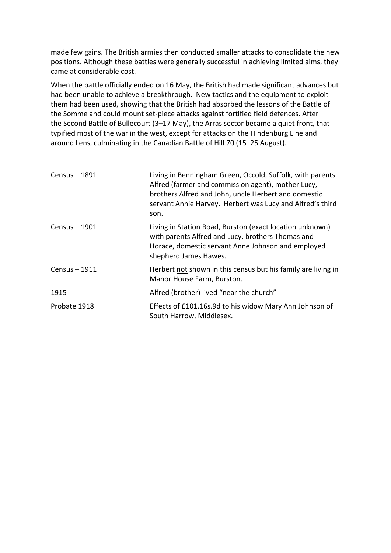made few gains. The British armies then conducted smaller attacks to consolidate the new positions. Although these battles were generally successful in achieving limited aims, they came at considerable cost.

When the battle officially ended on 16 May, the British had made significant advances but had been unable to achieve a breakthrough. New tactics and the equipment to exploit them had been used, showing that the British had absorbed the lessons of the Battle of the Somme and could mount set‐piece attacks against fortified field defences. After the Second Battle of Bullecourt (3–17 May), the Arras sector became a quiet front, that typified most of the war in the west, except for attacks on the Hindenburg Line and around Lens, culminating in the Canadian Battle of Hill 70 (15–25 August).

| Census - 1891 | Living in Benningham Green, Occold, Suffolk, with parents<br>Alfred (farmer and commission agent), mother Lucy,<br>brothers Alfred and John, uncle Herbert and domestic<br>servant Annie Harvey. Herbert was Lucy and Alfred's third<br>son. |
|---------------|----------------------------------------------------------------------------------------------------------------------------------------------------------------------------------------------------------------------------------------------|
| Census - 1901 | Living in Station Road, Burston (exact location unknown)<br>with parents Alfred and Lucy, brothers Thomas and<br>Horace, domestic servant Anne Johnson and employed<br>shepherd James Hawes.                                                 |
| Census – 1911 | Herbert not shown in this census but his family are living in<br>Manor House Farm, Burston.                                                                                                                                                  |
| 1915          | Alfred (brother) lived "near the church"                                                                                                                                                                                                     |
| Probate 1918  | Effects of £101.16s.9d to his widow Mary Ann Johnson of<br>South Harrow, Middlesex.                                                                                                                                                          |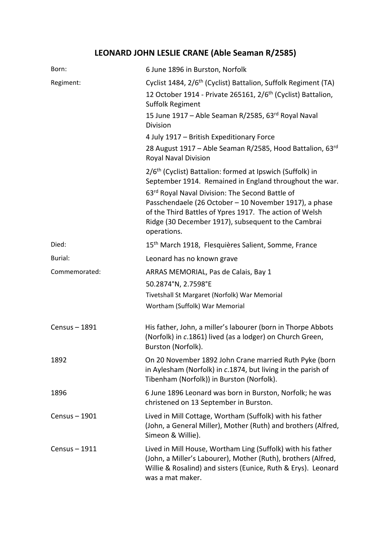# **LEONARD JOHN LESLIE CRANE (Able Seaman R/2585)**

| Born:         | 6 June 1896 in Burston, Norfolk                                                                                                                                                                                                            |
|---------------|--------------------------------------------------------------------------------------------------------------------------------------------------------------------------------------------------------------------------------------------|
| Regiment:     | Cyclist 1484, 2/6 <sup>th</sup> (Cyclist) Battalion, Suffolk Regiment (TA)<br>12 October 1914 - Private 265161, 2/6 <sup>th</sup> (Cyclist) Battalion,<br>Suffolk Regiment                                                                 |
|               | 15 June 1917 – Able Seaman R/2585, 63 <sup>rd</sup> Royal Naval<br>Division                                                                                                                                                                |
|               | 4 July 1917 - British Expeditionary Force                                                                                                                                                                                                  |
|               | 28 August 1917 – Able Seaman R/2585, Hood Battalion, 63rd<br>Royal Naval Division                                                                                                                                                          |
|               | 2/6 <sup>th</sup> (Cyclist) Battalion: formed at Ipswich (Suffolk) in<br>September 1914. Remained in England throughout the war.                                                                                                           |
|               | 63rd Royal Naval Division: The Second Battle of<br>Passchendaele (26 October - 10 November 1917), a phase<br>of the Third Battles of Ypres 1917. The action of Welsh<br>Ridge (30 December 1917), subsequent to the Cambrai<br>operations. |
| Died:         | 15 <sup>th</sup> March 1918, Flesquières Salient, Somme, France                                                                                                                                                                            |
| Burial:       | Leonard has no known grave                                                                                                                                                                                                                 |
| Commemorated: | ARRAS MEMORIAL, Pas de Calais, Bay 1                                                                                                                                                                                                       |
|               | 50.2874°N, 2.7598°E                                                                                                                                                                                                                        |
|               | Tivetshall St Margaret (Norfolk) War Memorial                                                                                                                                                                                              |
|               | Wortham (Suffolk) War Memorial                                                                                                                                                                                                             |
| Census - 1891 | His father, John, a miller's labourer (born in Thorpe Abbots<br>(Norfolk) in c.1861) lived (as a lodger) on Church Green,<br>Burston (Norfolk).                                                                                            |
| 1892          | On 20 November 1892 John Crane married Ruth Pyke (born<br>in Aylesham (Norfolk) in c.1874, but living in the parish of<br>Tibenham (Norfolk)) in Burston (Norfolk).                                                                        |
| 1896          | 6 June 1896 Leonard was born in Burston, Norfolk; he was<br>christened on 13 September in Burston.                                                                                                                                         |
| Census - 1901 | Lived in Mill Cottage, Wortham (Suffolk) with his father<br>(John, a General Miller), Mother (Ruth) and brothers (Alfred,<br>Simeon & Willie).                                                                                             |
| Census - 1911 | Lived in Mill House, Wortham Ling (Suffolk) with his father<br>(John, a Miller's Labourer), Mother (Ruth), brothers (Alfred,<br>Willie & Rosalind) and sisters (Eunice, Ruth & Erys). Leonard<br>was a mat maker.                          |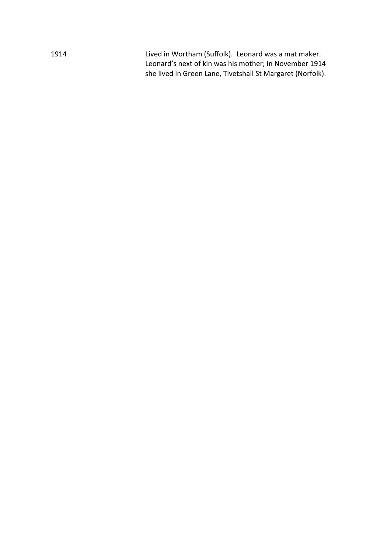1914 Lived in Wortham (Suffolk). Leonard was a mat maker. Leonard's next of kin was his mother; in November 1914 she lived in Green Lane, Tivetshall St Margaret (Norfolk).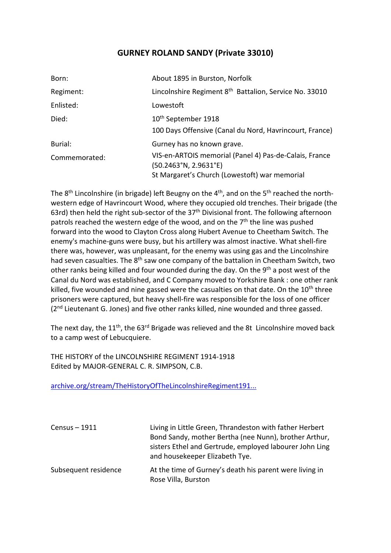## **GURNEY ROLAND SANDY (Private 33010)**

| Born:         | About 1895 in Burston, Norfolk                                                                                                   |
|---------------|----------------------------------------------------------------------------------------------------------------------------------|
| Regiment:     | Lincolnshire Regiment 8 <sup>th</sup> Battalion, Service No. 33010                                                               |
| Enlisted:     | Lowestoft                                                                                                                        |
| Died:         | 10 <sup>th</sup> September 1918                                                                                                  |
|               | 100 Days Offensive (Canal du Nord, Havrincourt, France)                                                                          |
| Burial:       | Gurney has no known grave.                                                                                                       |
| Commemorated: | VIS-en-ARTOIS memorial (Panel 4) Pas-de-Calais, France<br>(50.2463°N, 2.9631°E)<br>St Margaret's Church (Lowestoft) war memorial |

The 8<sup>th</sup> Lincolnshire (in brigade) left Beugny on the 4<sup>th</sup>, and on the 5<sup>th</sup> reached the northwestern edge of Havrincourt Wood, where they occupied old trenches. Their brigade (the 63rd) then held the right sub-sector of the  $37<sup>th</sup>$  Divisional front. The following afternoon patrols reached the western edge of the wood, and on the  $7<sup>th</sup>$  the line was pushed forward into the wood to Clayton Cross along Hubert Avenue to Cheetham Switch. The enemy's machine-guns were busy, but his artillery was almost inactive. What shell-fire there was, however, was unpleasant, for the enemy was using gas and the Lincolnshire had seven casualties. The 8<sup>th</sup> saw one company of the battalion in Cheetham Switch, two other ranks being killed and four wounded during the day. On the 9<sup>th</sup> a post west of the Canal du Nord was established, and C Company moved to Yorkshire Bank : one other rank killed, five wounded and nine gassed were the casualties on that date. On the  $10<sup>th</sup>$  three prisoners were captured, but heavy shell‐fire was responsible for the loss of one officer (2<sup>nd</sup> Lieutenant G. Jones) and five other ranks killed, nine wounded and three gassed.

The next day, the 11<sup>th</sup>, the 63<sup>rd</sup> Brigade was relieved and the 8t Lincolnshire moved back to a camp west of Lebucquiere.

THE HISTORY of the LINCOLNSHIRE REGIMENT 1914‐1918 Edited by MAJOR‐GENERAL C. R. SIMPSON, C.B.

archive.org/stream/TheHistoryOfTheLincolnshireRegiment191...

| Census - 1911        | Living in Little Green, Thrandeston with father Herbert<br>Bond Sandy, mother Bertha (nee Nunn), brother Arthur,<br>sisters Ethel and Gertrude, employed labourer John Ling<br>and housekeeper Elizabeth Tye. |
|----------------------|---------------------------------------------------------------------------------------------------------------------------------------------------------------------------------------------------------------|
| Subsequent residence | At the time of Gurney's death his parent were living in<br>Rose Villa, Burston                                                                                                                                |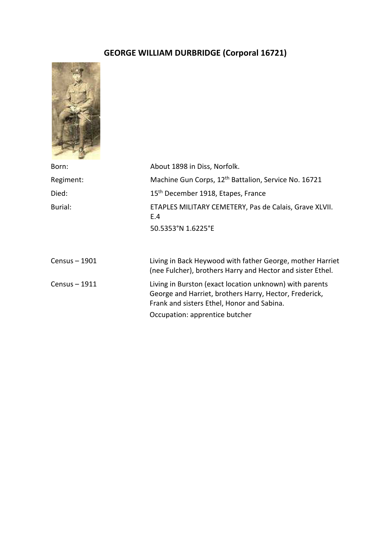# **GEORGE WILLIAM DURBRIDGE (Corporal 16721)**



| Born:         | About 1898 in Diss, Norfolk.                                                                                                                                    |
|---------------|-----------------------------------------------------------------------------------------------------------------------------------------------------------------|
| Regiment:     | Machine Gun Corps, 12 <sup>th</sup> Battalion, Service No. 16721                                                                                                |
| Died:         | 15 <sup>th</sup> December 1918, Etapes, France                                                                                                                  |
| Burial:       | ETAPLES MILITARY CEMETERY, Pas de Calais, Grave XLVII.<br>E.4<br>50.5353°N 1.6225°E                                                                             |
| Census - 1901 | Living in Back Heywood with father George, mother Harriet<br>(nee Fulcher), brothers Harry and Hector and sister Ethel.                                         |
| Census - 1911 | Living in Burston (exact location unknown) with parents<br>George and Harriet, brothers Harry, Hector, Frederick,<br>Frank and sisters Ethel, Honor and Sabina. |
|               | Occupation: apprentice butcher                                                                                                                                  |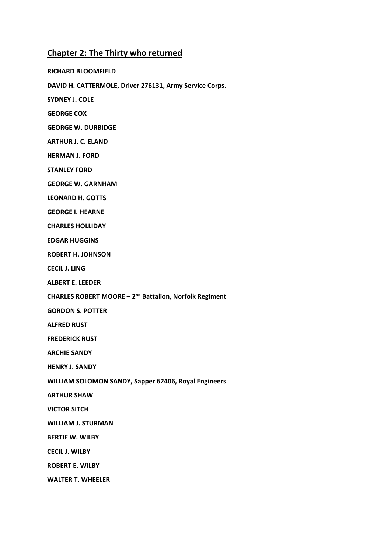## **Chapter 2: The Thirty who returned**

**RICHARD BLOOMFIELD DAVID H. CATTERMOLE, Driver 276131, Army Service Corps. SYDNEY J. COLE GEORGE COX GEORGE W. DURBIDGE ARTHUR J. C. ELAND HERMAN J. FORD STANLEY FORD GEORGE W. GARNHAM LEONARD H. GOTTS GEORGE I. HEARNE CHARLES HOLLIDAY EDGAR HUGGINS ROBERT H. JOHNSON CECIL J. LING ALBERT E. LEEDER CHARLES ROBERT MOORE – 2nd Battalion, Norfolk Regiment GORDON S. POTTER ALFRED RUST FREDERICK RUST ARCHIE SANDY HENRY J. SANDY WILLIAM SOLOMON SANDY, Sapper 62406, Royal Engineers ARTHUR SHAW VICTOR SITCH WILLIAM J. STURMAN BERTIE W. WILBY CECIL J. WILBY ROBERT E. WILBY WALTER T. WHEELER**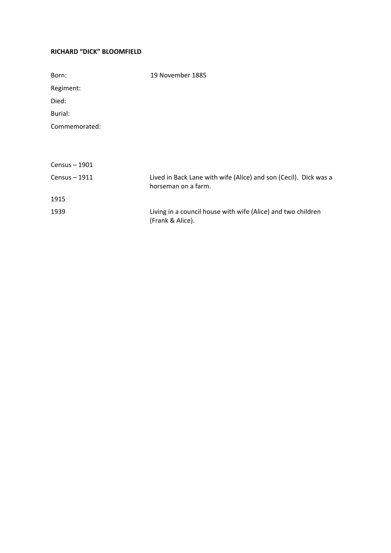## **RICHARD "DICK" BLOOMFIELD**

| Born:         | 19 November 1885                                                                        |
|---------------|-----------------------------------------------------------------------------------------|
| Regiment:     |                                                                                         |
| Died:         |                                                                                         |
| Burial:       |                                                                                         |
| Commemorated: |                                                                                         |
|               |                                                                                         |
|               |                                                                                         |
| Census - 1901 |                                                                                         |
| Census - 1911 | Lived in Back Lane with wife (Alice) and son (Cecil). Dick was a<br>horseman on a farm. |
| 1915          |                                                                                         |
| 1939          | Living in a council house with wife (Alice) and two children<br>(Frank & Alice).        |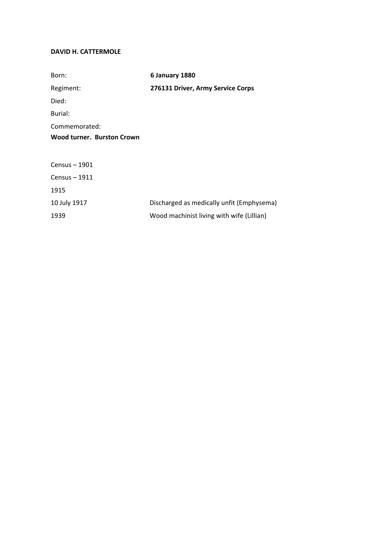## **DAVID H. CATTERMOLE**

| Born:                      | 6 January 1880                            |
|----------------------------|-------------------------------------------|
| Regiment:                  | 276131 Driver, Army Service Corps         |
| Died:                      |                                           |
| Burial:                    |                                           |
| Commemorated:              |                                           |
| Wood turner. Burston Crown |                                           |
|                            |                                           |
| Census - 1901              |                                           |
| Census - 1911              |                                           |
| 1915                       |                                           |
| 10 July 1917               | Discharged as medically unfit (Emphysema) |
| 1939                       | Wood machinist living with wife (Lillian) |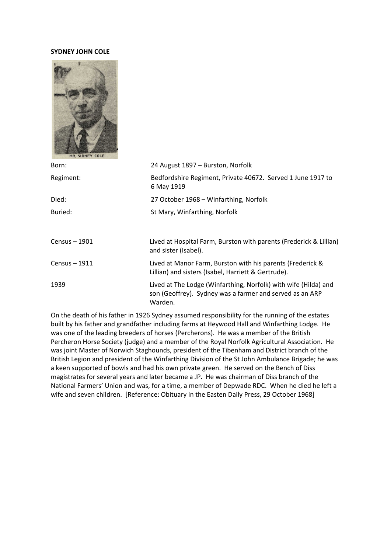#### **SYDNEY JOHN COLE**



| Born:         | 24 August 1897 – Burston, Norfolk                                                                                                      |
|---------------|----------------------------------------------------------------------------------------------------------------------------------------|
| Regiment:     | Bedfordshire Regiment, Private 40672. Served 1 June 1917 to<br>6 May 1919                                                              |
| Died:         | 27 October 1968 – Winfarthing, Norfolk                                                                                                 |
| Buried:       | St Mary, Winfarthing, Norfolk                                                                                                          |
|               |                                                                                                                                        |
| Census - 1901 | Lived at Hospital Farm, Burston with parents (Frederick & Lillian)<br>and sister (Isabel).                                             |
| Census - 1911 | Lived at Manor Farm, Burston with his parents (Frederick &<br>Lillian) and sisters (Isabel, Harriett & Gertrude).                      |
| 1939          | Lived at The Lodge (Winfarthing, Norfolk) with wife (Hilda) and<br>son (Geoffrey). Sydney was a farmer and served as an ARP<br>Warden. |

On the death of his father in 1926 Sydney assumed responsibility for the running of the estates built by his father and grandfather including farms at Heywood Hall and Winfarthing Lodge. He was one of the leading breeders of horses (Percherons). He was a member of the British Percheron Horse Society (judge) and a member of the Royal Norfolk Agricultural Association. He was joint Master of Norwich Staghounds, president of the Tibenham and District branch of the British Legion and president of the Winfarthing Division of the St John Ambulance Brigade; he was a keen supported of bowls and had his own private green. He served on the Bench of Diss magistrates for several years and later became a JP. He was chairman of Diss branch of the National Farmers' Union and was, for a time, a member of Depwade RDC. When he died he left a wife and seven children. [Reference: Obituary in the Easten Daily Press, 29 October 1968]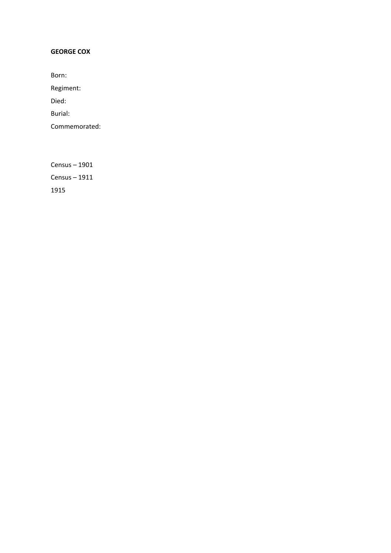## **GEORGE COX**

Born:

Regiment:

Died:

Burial:

Commemorated: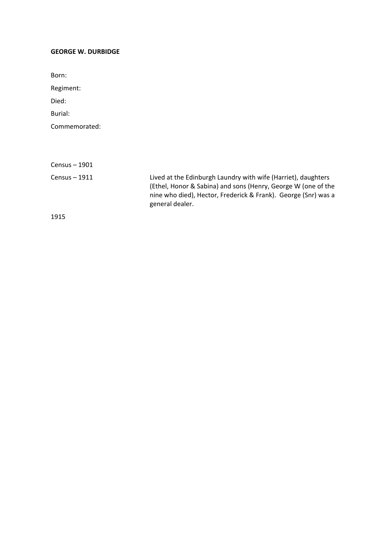#### **GEORGE W. DURBIDGE**

Born: Regiment: Died: Burial: Commemorated: Census – 1901 Census – 1911 Lived at the Edinburgh Laundry with wife (Harriet), daughters (Ethel, Honor & Sabina) and sons (Henry, George W (one of the nine who died), Hector, Frederick & Frank). George (Snr) was a general dealer.

1915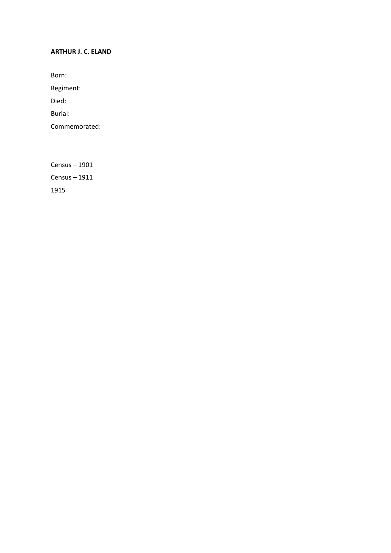## **ARTHUR J. C. ELAND**

Born:

Regiment:

Died:

Burial:

Commemorated: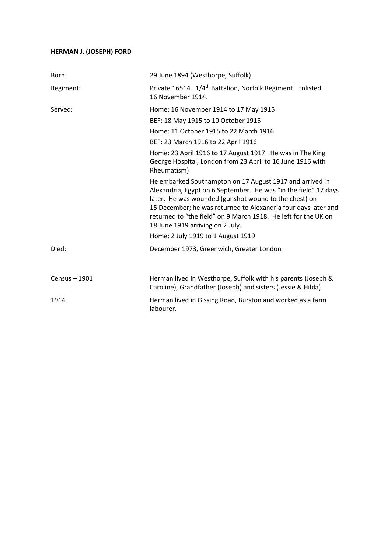## **HERMAN J. (JOSEPH) FORD**

| Born:         | 29 June 1894 (Westhorpe, Suffolk)                                                                                                                                                                                                                                                                                                                            |
|---------------|--------------------------------------------------------------------------------------------------------------------------------------------------------------------------------------------------------------------------------------------------------------------------------------------------------------------------------------------------------------|
| Regiment:     | Private 16514. 1/4 <sup>th</sup> Battalion, Norfolk Regiment. Enlisted<br>16 November 1914.                                                                                                                                                                                                                                                                  |
| Served:       | Home: 16 November 1914 to 17 May 1915                                                                                                                                                                                                                                                                                                                        |
|               | BEF: 18 May 1915 to 10 October 1915                                                                                                                                                                                                                                                                                                                          |
|               | Home: 11 October 1915 to 22 March 1916                                                                                                                                                                                                                                                                                                                       |
|               | BEF: 23 March 1916 to 22 April 1916                                                                                                                                                                                                                                                                                                                          |
|               | Home: 23 April 1916 to 17 August 1917. He was in The King<br>George Hospital, London from 23 April to 16 June 1916 with<br>Rheumatism)                                                                                                                                                                                                                       |
|               | He embarked Southampton on 17 August 1917 and arrived in<br>Alexandria, Egypt on 6 September. He was "in the field" 17 days<br>later. He was wounded (gunshot wound to the chest) on<br>15 December; he was returned to Alexandria four days later and<br>returned to "the field" on 9 March 1918. He left for the UK on<br>18 June 1919 arriving on 2 July. |
|               | Home: 2 July 1919 to 1 August 1919                                                                                                                                                                                                                                                                                                                           |
| Died:         | December 1973, Greenwich, Greater London                                                                                                                                                                                                                                                                                                                     |
| Census - 1901 | Herman lived in Westhorpe, Suffolk with his parents (Joseph &<br>Caroline), Grandfather (Joseph) and sisters (Jessie & Hilda)                                                                                                                                                                                                                                |
| 1914          | Herman lived in Gissing Road, Burston and worked as a farm<br>labourer.                                                                                                                                                                                                                                                                                      |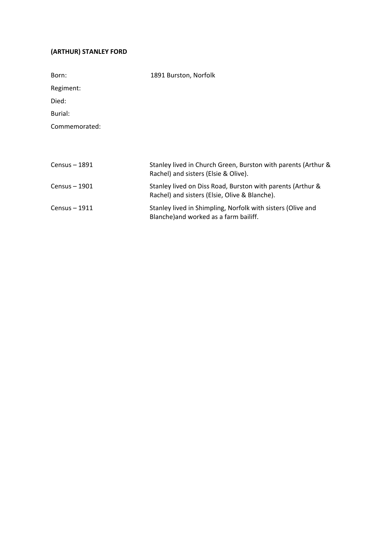## **(ARTHUR) STANLEY FORD**

| Born:          | 1891 Burston, Norfolk                                                                                       |
|----------------|-------------------------------------------------------------------------------------------------------------|
| Regiment:      |                                                                                                             |
| Died:          |                                                                                                             |
| Burial:        |                                                                                                             |
| Commemorated:  |                                                                                                             |
|                |                                                                                                             |
|                |                                                                                                             |
| Census $-1891$ | Stanley lived in Church Green, Burston with parents (Arthur &<br>Rachel) and sisters (Elsie & Olive).       |
| Census - 1901  | Stanley lived on Diss Road, Burston with parents (Arthur &<br>Rachel) and sisters (Elsie, Olive & Blanche). |
| Census $-1911$ | Stanley lived in Shimpling, Norfolk with sisters (Olive and<br>Blanche) and worked as a farm bailiff.       |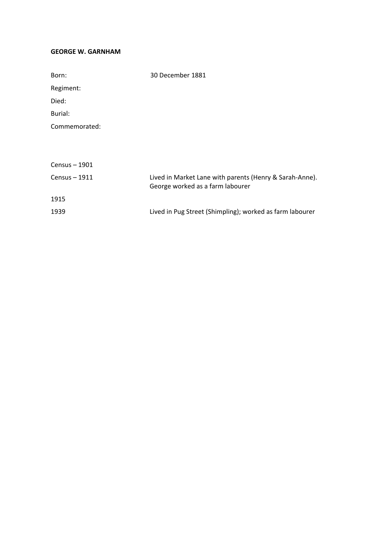#### **GEORGE W. GARNHAM**

| Born:          | 30 December 1881                                                                            |
|----------------|---------------------------------------------------------------------------------------------|
| Regiment:      |                                                                                             |
| Died:          |                                                                                             |
| Burial:        |                                                                                             |
| Commemorated:  |                                                                                             |
|                |                                                                                             |
|                |                                                                                             |
| Census $-1901$ |                                                                                             |
| Census $-1911$ | Lived in Market Lane with parents (Henry & Sarah-Anne).<br>George worked as a farm labourer |
| 1915           |                                                                                             |
| 1939           | Lived in Pug Street (Shimpling); worked as farm labourer                                    |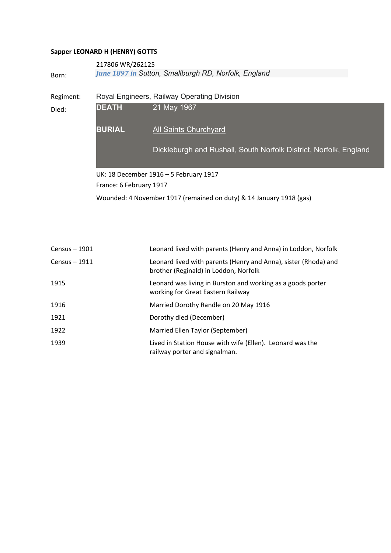## **Sapper LEONARD H (HENRY) GOTTS**

|           | 217806 WR/262125                                                  |                                                                   |
|-----------|-------------------------------------------------------------------|-------------------------------------------------------------------|
| Born:     |                                                                   | June 1897 in Sutton, Smallburgh RD, Norfolk, England              |
| Regiment: | Royal Engineers, Railway Operating Division                       |                                                                   |
| Died:     | <b>DEATH</b>                                                      | 21 May 1967                                                       |
|           | <b>BURIAL</b>                                                     | <b>All Saints Churchyard</b>                                      |
|           |                                                                   | Dickleburgh and Rushall, South Norfolk District, Norfolk, England |
|           | UK: 18 December 1916 - 5 February 1917<br>France: 6 February 1917 |                                                                   |
|           |                                                                   |                                                                   |

Wounded: 4 November 1917 (remained on duty) & 14 January 1918 (gas)

| Census - 1901  | Leonard lived with parents (Henry and Anna) in Loddon, Norfolk                                           |
|----------------|----------------------------------------------------------------------------------------------------------|
| Census $-1911$ | Leonard lived with parents (Henry and Anna), sister (Rhoda) and<br>brother (Reginald) in Loddon, Norfolk |
| 1915           | Leonard was living in Burston and working as a goods porter<br>working for Great Eastern Railway         |
| 1916           | Married Dorothy Randle on 20 May 1916                                                                    |
| 1921           | Dorothy died (December)                                                                                  |
| 1922           | Married Ellen Taylor (September)                                                                         |
| 1939           | Lived in Station House with wife (Ellen). Leonard was the<br>railway porter and signalman.               |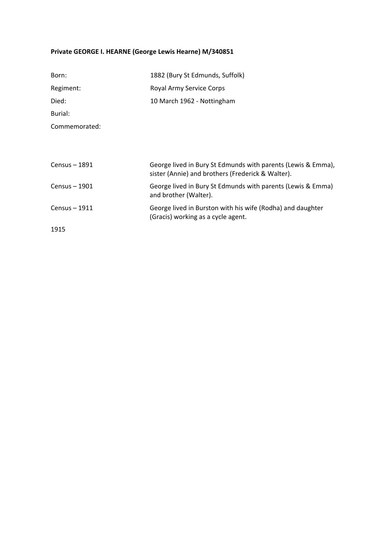## **Private GEORGE I. HEARNE (George Lewis Hearne) M/340851**

| Born:           | 1882 (Bury St Edmunds, Suffolk)                                                                                   |
|-----------------|-------------------------------------------------------------------------------------------------------------------|
| Regiment:       | Royal Army Service Corps                                                                                          |
| Died:           | 10 March 1962 - Nottingham                                                                                        |
| Burial:         |                                                                                                                   |
| Commemorated:   |                                                                                                                   |
|                 |                                                                                                                   |
|                 |                                                                                                                   |
| Census - 1891   | George lived in Bury St Edmunds with parents (Lewis & Emma),<br>sister (Annie) and brothers (Frederick & Walter). |
| Census - 1901   | George lived in Bury St Edmunds with parents (Lewis & Emma)<br>and brother (Walter).                              |
| $Census - 1911$ | George lived in Burston with his wife (Rodha) and daughter<br>(Gracis) working as a cycle agent.                  |
| 1915            |                                                                                                                   |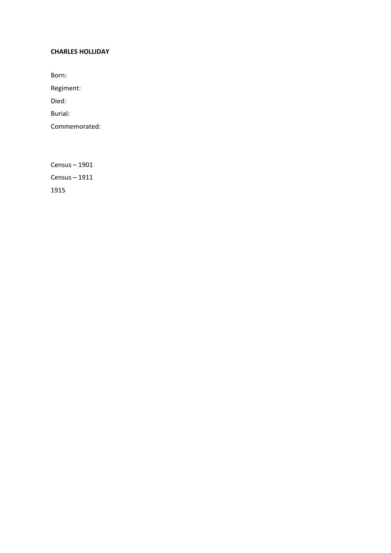#### **CHARLES HOLLIDAY**

Born:

Regiment:

Died:

Burial:

Commemorated: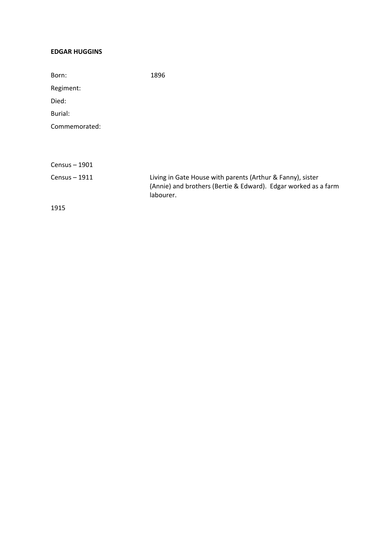#### **EDGAR HUGGINS**

| Born:         | 1896                                                                                                                                      |
|---------------|-------------------------------------------------------------------------------------------------------------------------------------------|
| Regiment:     |                                                                                                                                           |
| Died:         |                                                                                                                                           |
| Burial:       |                                                                                                                                           |
| Commemorated: |                                                                                                                                           |
|               |                                                                                                                                           |
| Census - 1901 |                                                                                                                                           |
| Census - 1911 | Living in Gate House with parents (Arthur & Fanny), sister<br>(Annie) and brothers (Bertie & Edward). Edgar worked as a farm<br>labourer. |
| 1915          |                                                                                                                                           |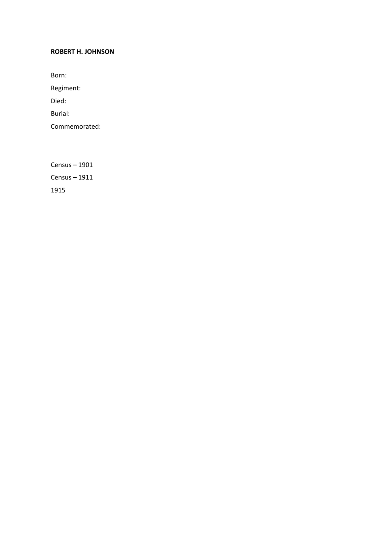#### **ROBERT H. JOHNSON**

Born:

Regiment:

Died:

Burial:

Commemorated: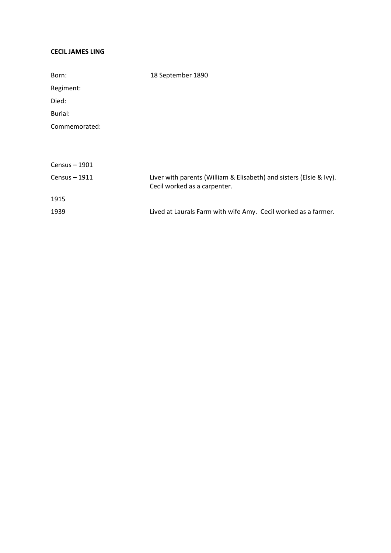#### **CECIL JAMES LING**

| Born:         | 18 September 1890                                                                                   |
|---------------|-----------------------------------------------------------------------------------------------------|
| Regiment:     |                                                                                                     |
| Died:         |                                                                                                     |
| Burial:       |                                                                                                     |
| Commemorated: |                                                                                                     |
|               |                                                                                                     |
|               |                                                                                                     |
| Census - 1901 |                                                                                                     |
| Census - 1911 | Liver with parents (William & Elisabeth) and sisters (Elsie & Ivy).<br>Cecil worked as a carpenter. |
| 1915          |                                                                                                     |
| 1939          | Lived at Laurals Farm with wife Amy. Cecil worked as a farmer.                                      |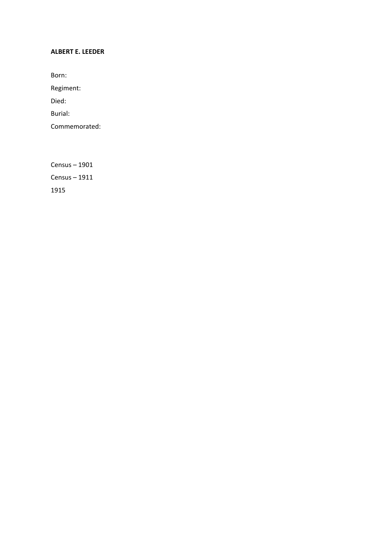#### **ALBERT E. LEEDER**

Born:

Regiment:

Died:

Burial:

Commemorated: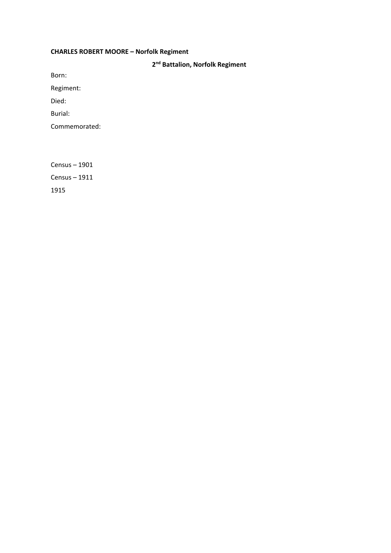## **CHARLES ROBERT MOORE – Norfolk Regiment**

**2nd Battalion, Norfolk Regiment**

Born:

Regiment:

Died:

Burial:

Commemorated:

Census – 1901

Census – 1911

1915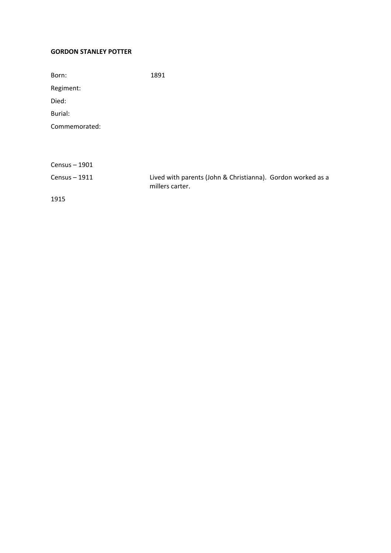## **GORDON STANLEY POTTER**

| Born:         | 1891                                                                           |
|---------------|--------------------------------------------------------------------------------|
| Regiment:     |                                                                                |
| Died:         |                                                                                |
| Burial:       |                                                                                |
| Commemorated: |                                                                                |
|               |                                                                                |
|               |                                                                                |
| Census - 1901 |                                                                                |
| Census - 1911 | Lived with parents (John & Christianna). Gordon worked as a<br>millers carter. |
| 1915          |                                                                                |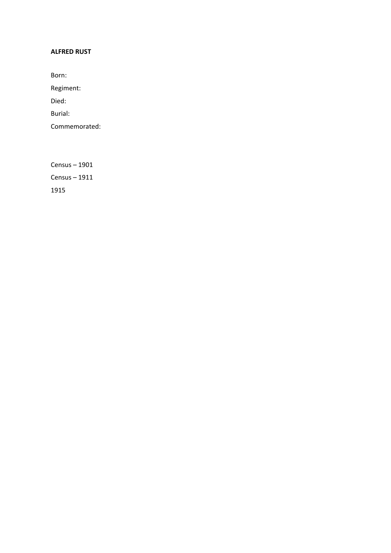## **ALFRED RUST**

Born:

Regiment:

Died:

Burial:

Commemorated: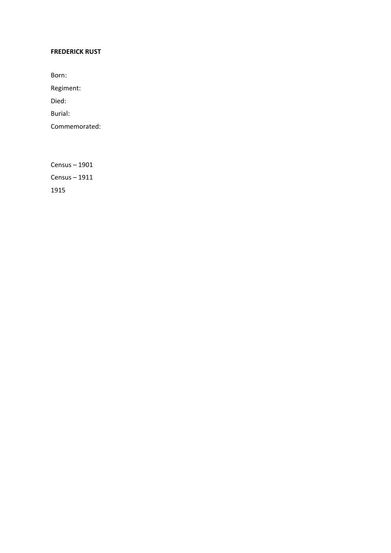## **FREDERICK RUST**

Born:

Regiment:

Died:

Burial:

Commemorated: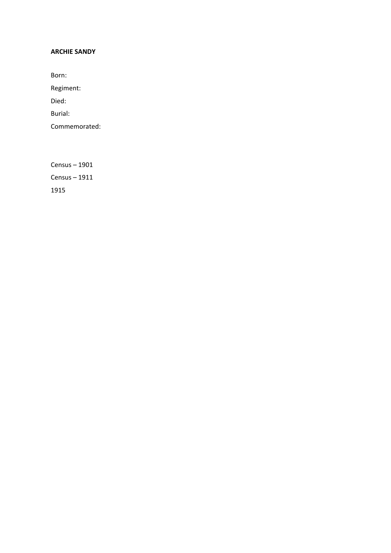#### **ARCHIE SANDY**

Born:

Regiment:

Died:

Burial:

Commemorated: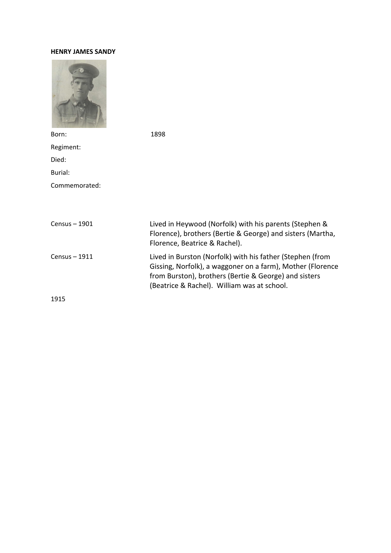#### **HENRY JAMES SANDY**



Born: 1898 Regiment: Died: Burial: Commemorated: Census – 1901 Lived in Heywood (Norfolk) with his parents (Stephen & Florence), brothers (Bertie & George) and sisters (Martha, Florence, Beatrice & Rachel). Census – 1911 Lived in Burston (Norfolk) with his father (Stephen (from Gissing, Norfolk), a waggoner on a farm), Mother (Florence from Burston), brothers (Bertie & George) and sisters (Beatrice & Rachel). William was at school. 1915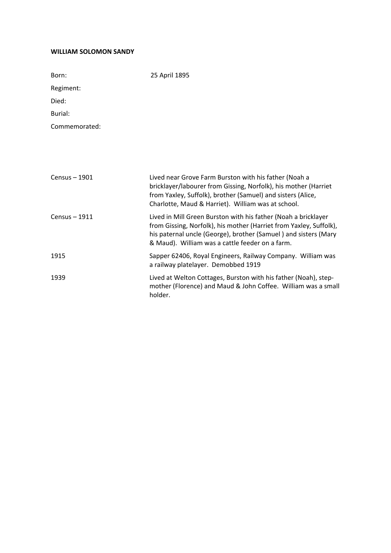#### **WILLIAM SOLOMON SANDY**

| Born:         | 25 April 1895                                                                                                                                                                                                                                              |
|---------------|------------------------------------------------------------------------------------------------------------------------------------------------------------------------------------------------------------------------------------------------------------|
| Regiment:     |                                                                                                                                                                                                                                                            |
| Died:         |                                                                                                                                                                                                                                                            |
| Burial:       |                                                                                                                                                                                                                                                            |
| Commemorated: |                                                                                                                                                                                                                                                            |
|               |                                                                                                                                                                                                                                                            |
|               |                                                                                                                                                                                                                                                            |
|               |                                                                                                                                                                                                                                                            |
| Census - 1901 | Lived near Grove Farm Burston with his father (Noah a<br>bricklayer/labourer from Gissing, Norfolk), his mother (Harriet<br>from Yaxley, Suffolk), brother (Samuel) and sisters (Alice,<br>Charlotte, Maud & Harriet). William was at school.              |
| Census - 1911 | Lived in Mill Green Burston with his father (Noah a bricklayer<br>from Gissing, Norfolk), his mother (Harriet from Yaxley, Suffolk),<br>his paternal uncle (George), brother (Samuel) and sisters (Mary<br>& Maud). William was a cattle feeder on a farm. |
| 1915          | Sapper 62406, Royal Engineers, Railway Company. William was<br>a railway platelayer. Demobbed 1919                                                                                                                                                         |
| 1939          | Lived at Welton Cottages, Burston with his father (Noah), step-<br>mother (Florence) and Maud & John Coffee. William was a small<br>holder.                                                                                                                |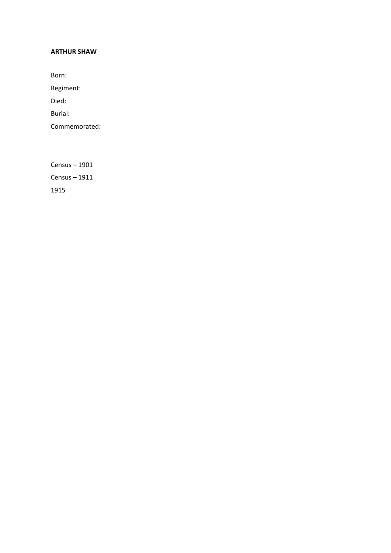#### **ARTHUR SHAW**

Born:

Regiment:

Died:

Burial:

Commemorated: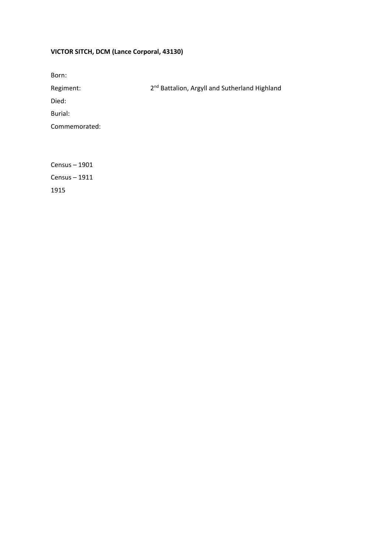## **VICTOR SITCH, DCM (Lance Corporal, 43130)**

| Born:         |                                                           |
|---------------|-----------------------------------------------------------|
| Regiment:     | 2 <sup>nd</sup> Battalion, Argyll and Sutherland Highland |
| Died:         |                                                           |
| Burial:       |                                                           |
| Commemorated: |                                                           |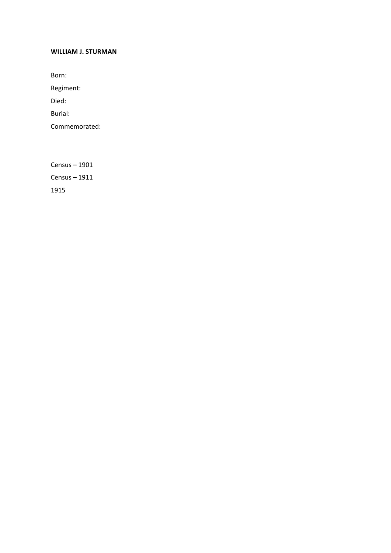#### **WILLIAM J. STURMAN**

Born:

Regiment:

Died:

Burial:

Commemorated: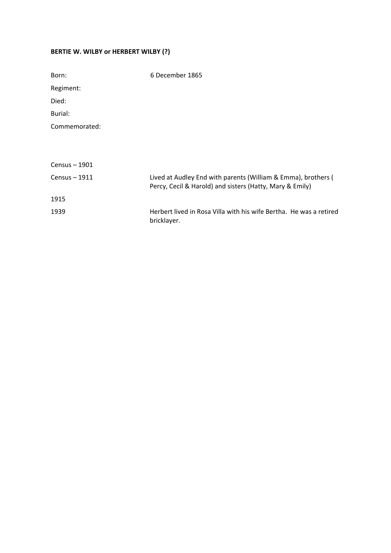## **BERTIE W. WILBY or HERBERT WILBY (?)**

| Born:         | 6 December 1865                                                                                                           |
|---------------|---------------------------------------------------------------------------------------------------------------------------|
| Regiment:     |                                                                                                                           |
| Died:         |                                                                                                                           |
| Burial:       |                                                                                                                           |
| Commemorated: |                                                                                                                           |
|               |                                                                                                                           |
|               |                                                                                                                           |
| Census - 1901 |                                                                                                                           |
| Census - 1911 | Lived at Audley End with parents (William & Emma), brothers (<br>Percy, Cecil & Harold) and sisters (Hatty, Mary & Emily) |
| 1915          |                                                                                                                           |
| 1939          | Herbert lived in Rosa Villa with his wife Bertha. He was a retired<br>bricklayer.                                         |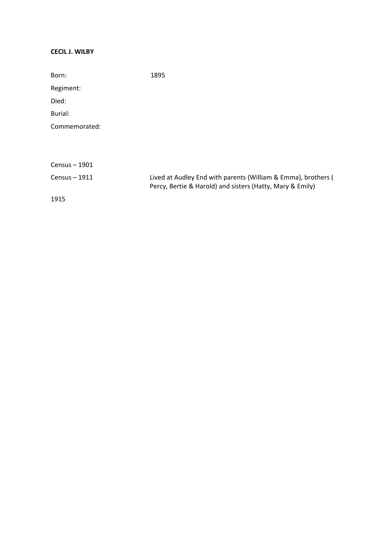## **CECIL J. WILBY**

| Born:         | 1895                                                          |
|---------------|---------------------------------------------------------------|
| Regiment:     |                                                               |
| Died:         |                                                               |
| Burial:       |                                                               |
| Commemorated: |                                                               |
|               |                                                               |
|               |                                                               |
| Census - 1901 |                                                               |
| Census - 1911 | Lived at Audley End with parents (William & Emma), brothers ( |
|               | Percy, Bertie & Harold) and sisters (Hatty, Mary & Emily)     |
| 1915          |                                                               |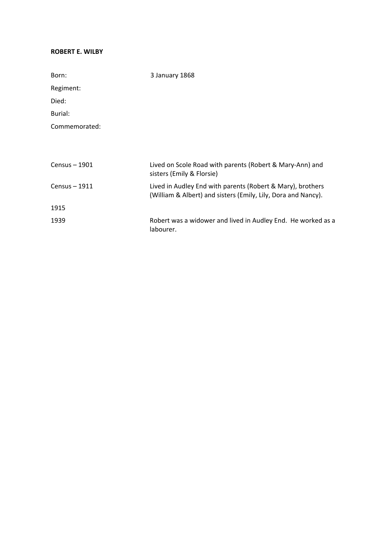### **ROBERT E. WILBY**

| Born:         | 3 January 1868                                                                                                              |
|---------------|-----------------------------------------------------------------------------------------------------------------------------|
| Regiment:     |                                                                                                                             |
| Died:         |                                                                                                                             |
| Burial:       |                                                                                                                             |
| Commemorated: |                                                                                                                             |
|               |                                                                                                                             |
|               |                                                                                                                             |
| Census - 1901 | Lived on Scole Road with parents (Robert & Mary-Ann) and<br>sisters (Emily & Florsie)                                       |
| Census - 1911 | Lived in Audley End with parents (Robert & Mary), brothers<br>(William & Albert) and sisters (Emily, Lily, Dora and Nancy). |
| 1915          |                                                                                                                             |
| 1939          | Robert was a widower and lived in Audley End. He worked as a<br>labourer.                                                   |